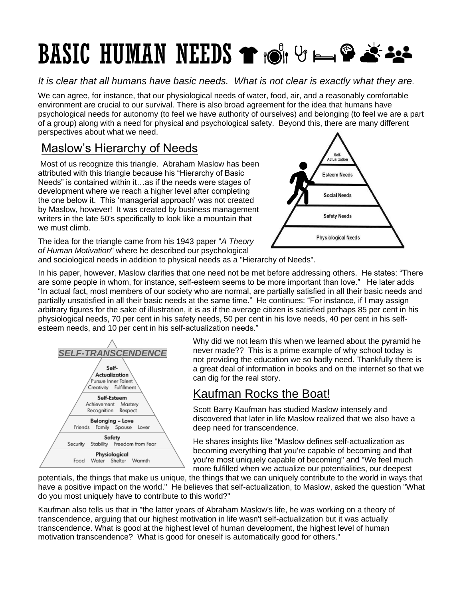# **BASIC HUMAN NEEDS THOLET BE SEE**

*It is clear that all humans have basic needs. What is not clear is exactly what they are.* 

We can agree, for instance, that our physiological needs of water, food, air, and a reasonably comfortable environment are crucial to our survival. There is also broad agreement for the idea that humans have psychological needs for autonomy (to feel we have authority of ourselves) and belonging (to feel we are a part of a group) along with a need for physical and psychological safety. Beyond this, there are many different perspectives about what we need.

#### Maslow's Hierarchy of Needs

Most of us recognize this triangle. Abraham Maslow has been attributed with this triangle because his "Hierarchy of Basic Needs" is contained within it…as if the needs were stages of development where we reach a higher level after completing the one below it. This 'managerial approach' was not created by Maslow, however! It was created by business management writers in the late 50's specifically to look like a mountain that we must climb.

The idea for the triangle came from his 1943 paper "*A Theory of Human Motivation*" where he described our psychological



and sociological needs in addition to physical needs as a "Hierarchy of Needs".

In his paper, however, Maslow clarifies that one need not be met before addressing others. He states: "There are some people in whom, for instance, self-esteem seems to be more important than love." He later adds "In actual fact, most members of our society who are normal, are partially satisfied in all their basic needs and partially unsatisfied in all their basic needs at the same time." He continues: "For instance, if I may assign arbitrary figures for the sake of illustration, it is as if the average citizen is satisfied perhaps 85 per cent in his physiological needs, 70 per cent in his safety needs, 50 per cent in his love needs, 40 per cent in his selfesteem needs, and 10 per cent in his self-actualization needs."



Why did we not learn this when we learned about the pyramid he never made?? This is a prime example of why school today is not providing the education we so badly need. Thankfully there is a great deal of information in books and on the internet so that we can dig for the real story.

### Kaufman Rocks the Boat!

Scott Barry Kaufman has studied Maslow intensely and discovered that later in life Maslow realized that we also have a deep need for transcendence.

He shares insights like "Maslow defines self-actualization as becoming everything that you're capable of becoming and that you're most uniquely capable of becoming" and "We feel much more fulfilled when we actualize our potentialities, our deepest

potentials, the things that make us unique, the things that we can uniquely contribute to the world in ways that have a positive impact on the world." He believes that self-actualization, to Maslow, asked the question "What do you most uniquely have to contribute to this world?"

Kaufman also tells us that in "the latter years of Abraham Maslow's life, he was working on a theory of transcendence, arguing that our highest motivation in life wasn't self-actualization but it was actually transcendence. What is good at the highest level of human development, the highest level of human motivation transcendence? What is good for oneself is automatically good for others."